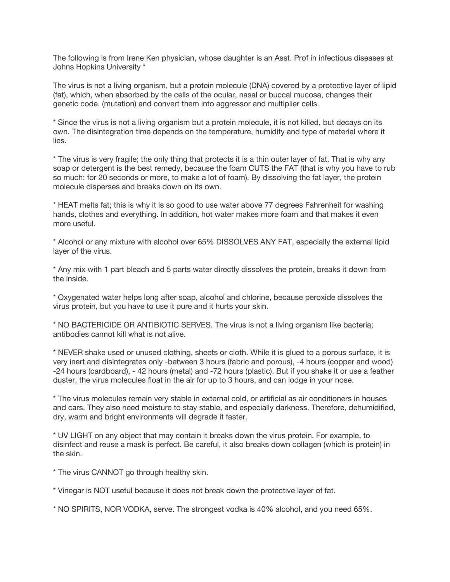The following is from Irene Ken physician, whose daughter is an Asst. Prof in infectious diseases at Johns Hopkins University \*

The virus is not a living organism, but a protein molecule (DNA) covered by a protective layer of lipid (fat), which, when absorbed by the cells of the ocular, nasal or buccal mucosa, changes their genetic code. (mutation) and convert them into aggressor and multiplier cells.

\* Since the virus is not a living organism but a protein molecule, it is not killed, but decays on its own. The disintegration time depends on the temperature, humidity and type of material where it lies.

\* The virus is very fragile; the only thing that protects it is a thin outer layer of fat. That is why any soap or detergent is the best remedy, because the foam CUTS the FAT (that is why you have to rub so much: for 20 seconds or more, to make a lot of foam). By dissolving the fat layer, the protein molecule disperses and breaks down on its own.

\* HEAT melts fat; this is why it is so good to use water above 77 degrees Fahrenheit for washing hands, clothes and everything. In addition, hot water makes more foam and that makes it even more useful.

\* Alcohol or any mixture with alcohol over 65% DISSOLVES ANY FAT, especially the external lipid layer of the virus.

\* Any mix with 1 part bleach and 5 parts water directly dissolves the protein, breaks it down from the inside.

\* Oxygenated water helps long after soap, alcohol and chlorine, because peroxide dissolves the virus protein, but you have to use it pure and it hurts your skin.

\* NO BACTERICIDE OR ANTIBIOTIC SERVES. The virus is not a living organism like bacteria; antibodies cannot kill what is not alive.

\* NEVER shake used or unused clothing, sheets or cloth. While it is glued to a porous surface, it is very inert and disintegrates only -between 3 hours (fabric and porous), -4 hours (copper and wood) -24 hours (cardboard), - 42 hours (metal) and -72 hours (plastic). But if you shake it or use a feather duster, the virus molecules float in the air for up to 3 hours, and can lodge in your nose.

\* The virus molecules remain very stable in external cold, or artificial as air conditioners in houses and cars. They also need moisture to stay stable, and especially darkness. Therefore, dehumidified, dry, warm and bright environments will degrade it faster.

\* UV LIGHT on any object that may contain it breaks down the virus protein. For example, to disinfect and reuse a mask is perfect. Be careful, it also breaks down collagen (which is protein) in the skin.

\* The virus CANNOT go through healthy skin.

\* Vinegar is NOT useful because it does not break down the protective layer of fat.

\* NO SPIRITS, NOR VODKA, serve. The strongest vodka is 40% alcohol, and you need 65%.